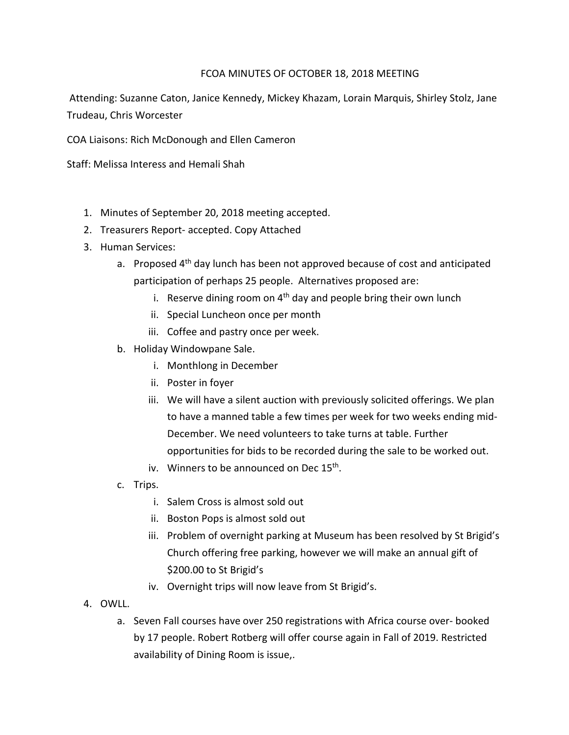## FCOA MINUTES OF OCTOBER 18, 2018 MEETING

 Attending: Suzanne Caton, Janice Kennedy, Mickey Khazam, Lorain Marquis, Shirley Stolz, Jane Trudeau, Chris Worcester

COA Liaisons: Rich McDonough and Ellen Cameron

Staff: Melissa Interess and Hemali Shah

- 1. Minutes of September 20, 2018 meeting accepted.
- 2. Treasurers Report- accepted. Copy Attached
- 3. Human Services:
	- a. Proposed 4<sup>th</sup> day lunch has been not approved because of cost and anticipated participation of perhaps 25 people. Alternatives proposed are:
		- i. Reserve dining room on  $4<sup>th</sup>$  day and people bring their own lunch
		- ii. Special Luncheon once per month
		- iii. Coffee and pastry once per week.
	- b. Holiday Windowpane Sale.
		- i. Monthlong in December
		- ii. Poster in foyer
		- iii. We will have a silent auction with previously solicited offerings. We plan to have a manned table a few times per week for two weeks ending mid-December. We need volunteers to take turns at table. Further opportunities for bids to be recorded during the sale to be worked out.
		- iv. Winners to be announced on Dec 15<sup>th</sup>.
	- c. Trips.
		- i. Salem Cross is almost sold out
		- ii. Boston Pops is almost sold out
		- iii. Problem of overnight parking at Museum has been resolved by St Brigid's Church offering free parking, however we will make an annual gift of \$200.00 to St Brigid's
		- iv. Overnight trips will now leave from St Brigid's.
- 4. OWLL.
	- a. Seven Fall courses have over 250 registrations with Africa course over- booked by 17 people. Robert Rotberg will offer course again in Fall of 2019. Restricted availability of Dining Room is issue,.